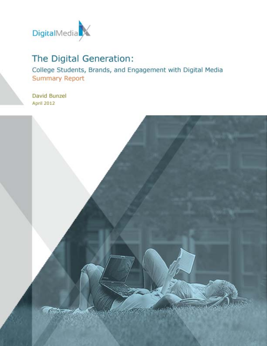

## The Digital Generation:

College Students, Brands, and Engagement with Digital Media **Summary Report** 

David Bunzel **April 2012** 

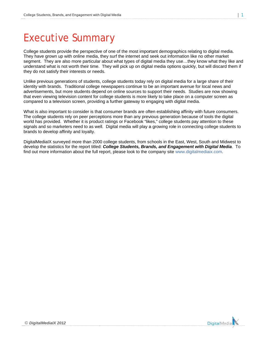# **Executive Summary**

College students provide the perspective of one of the most important demographics relating to digital media. They have grown up with online media, they surf the internet and seek out information like no other market segment. They are also more particular about what types of digital media they use...they know what they like and understand what is not worth their time. They will pick up on digital media options quickly, but will discard them if they do not satisfy their interests or needs.

Unlike previous generations of students, college students today rely on digital media for a large share of their identity with brands. Traditional college newspapers continue to be an important avenue for local news and advertisements, but more students depend on online sources to support their needs. Studies are now showing that even viewing television content for college students is more likely to take place on a computer screen as compared to a television screen, providing a further gateway to engaging with digital media.

What is also important to consider is that consumer brands are often establishing affinity with future consumers. The college students rely on peer perceptions more than any previous generation because of tools the digital world has provided. Whether it is product ratings or Facebook "likes," college students pay attention to these signals and so marketers need to as well. Digital media will play a growing role in connecting college students to brands to develop affinity and loyalty.

DigitalMedialX surveyed more than 2000 college students, from schools in the East, West, South and Midwest to develop the statistics for the report titled: College Students, Brands, and Engagement with Digital Media. To find out more information about the full report, please look to the company site www.digitalmediaix.com.



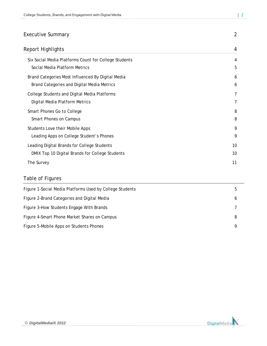| <b>Executive Summary</b>                              | 2  |
|-------------------------------------------------------|----|
| Report Highlights                                     | 4  |
| Six Social Media Platforms Count for College Students | 4  |
| Social Media Platform Metrics                         | 5  |
| Brand Categories Most Influenced By Digital Media     | 6  |
| Brand Categories and Digital Media Metrics            | 6  |
| College Students and Digital Media Platforms          | 7  |
| Digital Media Platform Metrics                        | 7  |
| Smart Phones Go to College                            | 8  |
| Smart Phones on Campus                                | 8  |
| Students Love their Mobile Apps                       | 9  |
| Leading Apps on College Student's Phones              | 9  |
| Leading Digital Brands for College Students           | 10 |
| DMIX Top 10 Digital Brands for College Students       | 10 |
| The Survey                                            | 11 |

### Table of Figures

| Figure 1-Social Media Platforms Used by College Students | 5 |
|----------------------------------------------------------|---|
| Figure 2-Brand Categories and Digital Media              | O |
| Figure 3-How Students Engage With Brands                 |   |
| Figure 4-Smart Phone Market Shares on Campus             | 8 |
| Figure 5-Mobile Apps on Students Phones                  | Q |

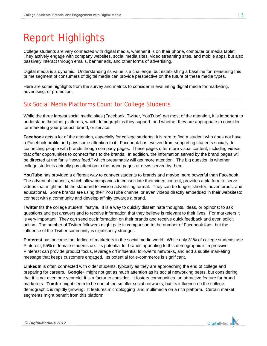# **Report Highlights**

College students are very connected with digital media, whether it is on their phone, computer or media tablet. They actively engage with company websites, social media sites, video streaming sites, and mobile apps, but also passively interact through emails, banner ads, and other forms of advertising.

Digital media is a dynamic. Understanding its value is a challenge, but establishing a baseline for measuring this prime segment of consumers of digital media can provide perspective on the future of these media types.

Here are some highlights from the survey and metrics to consider in evaluating digital media for marketing, advertising, or promotion.

### Six Social Media Platforms Count for College Students

While the three largest social media sites (Facebook, Twitter, YouTube) get most of the attention, it is important to understand the other platforms, which demographics they support, and whether they are appropriate to consider for marketing your product, brand, or service.

Facebook gets a lot of the attention, especially for college students; it is rare to find a student who does not have a Facebook profile and pays some attention to it. Facebook has evolved from supporting students socially, to connecting people with brands though company pages. These pages offer more visual content, including videos, that offer opportunities to connect fans to the brands. In addition, the information served by the brand pages will be directed at the fan's "news feed," which presumably will get more attention. The big question is whether college students actually pay attention to the brand pages or news served by them.

YouTube has provided a different way to connect students to brands and maybe more powerful than Facebook. The advent of channels, which allow companies to consolidate their video content, provides a platform to serve videos that might not fit the standard television advertising format. They can be longer, shorter, adventurous, and educational. Some brands are using their YouTube channel or even videos directly embedded in their websitesto connect with a community and develop affinity towards a brand.

**Twitter** fits the college student lifestyle. It is a way to quickly disseminate thoughts, ideas, or opinons; to ask questions and get answers and to receive information that they believe is relevant to their lives. For marketers it is very important. They can send out information on their brands and receive quick feedback and even solicit action. The number of Twitter followers might pale in comparison to the number of Facebook fans, but the influence of the Twitter community is signficantly stronger.

Pinterest has become the darling of marketers in the social media world. While only 31% of college students use Pinterest, 55% of female students do. Its potential for brands appealing to this demographic is impressive. Pinterest can provide product focus, leverage off influential follower's networks, and add a subtle marketing message that keeps customers engaged. Its potential for e-commerce is significant.

LinkedIn is often connected with older students, typically as they are approaching the end of college and preparing for careers. Google+ might not get as much attention as its social networking peers, but considering that it is not even one year old, it is a factor to consider. It fosters communities, an attractive feature for brand marketers. Tumblr might seem to be one of the smaller social networks, but its influence on the college demographic is rapidly growing. It features microblogging and multimedia on a rich platform. Certain market segments might benefit from this platform.

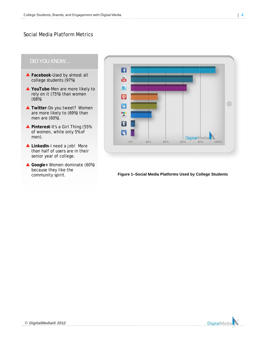#### S Social Medi a Platform Metrics

#### *DID YOU KNOW…*

- ▲ Facebook-Used by almost all college students (97%)
- ▲ YouTube-Men are more likely to rely on it (75%) than w women (68%)
- ▲ Twitter-Do you tweet? Women are more likely to (69% %) than men are ( (60%).
- ▲ Pinterest-It's a Girl Thing (55% of women n, while only 5% of men).
- LinkedIn-I need a job! More than half of users are in their senior year of college.
- ▲ Google+ Women dominate (60%) because they like the communit ty spirit.



#### **Figure 1–Social Media Platforms Used by College Studen ts**

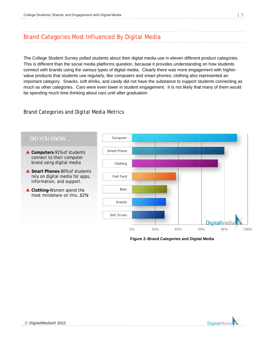### Brand Categories Most Influenced By Digital Media

The College Student Survey polled students about their digital media use in eleven different product categories. This is different than the social media platforms question, because it provides understanding on how students connect with brands using the various types of digital media. Clearly there was more engagement with highervalue products that students use regularly, like computers and smart phones; clothing also represented an important category. Snacks, soft drinks, and candy did not have the substance to support students connecting as much as other categories. Cars were even lower in student engagement. It is not likely that many of them would be spending much time thinking about cars until after graduation

### Brand Categories and Digital Media Metrics



Figure 2-Brand Categories and Digital Media



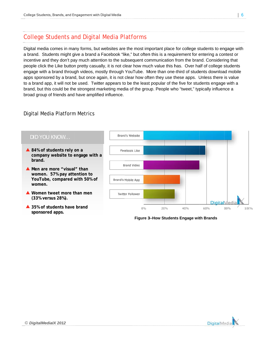### College Students and Digital Media Platforms

Digital media comes in many forms, but websites are the most important place for college students to engage with a brand. Students might give a brand a Facebook "like," but often this is a requirement for entering a contest or incentive and they don't pay much attention to the subsequent communication from the brand. Considering that people click the Like button pretty casually, it is not clear how much value this has. Over half of college students engage with a brand through videos, mostly through YouTube. More than one-third of students download mobile apps sponsored by a brand, but once again, it is not clear how often they use these apps. Unless there is value to a brand app, it will not be used. Twitter appears to be the least popular of the five for students engage with a brand, but this could be the strongest marketing media of the group. People who "tweet," typically influence a broad group of friends and have amplified influence.

### D Digital Med ia Platform m Metrics



**Figure 3–How Students Engage with Brands** 

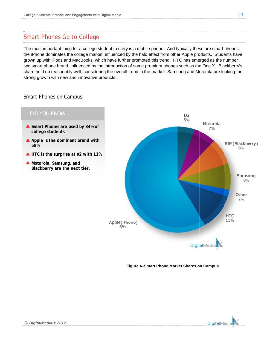### Smart Phones Go to College

The most important thing for a college student to carry is a mobile phone. And typically these are smart phones; the iPhone dominates the college market, influenced by the halo effect from other Apple products. Students have grown up with iPods and MacBooks, which have further promoted this trend. HTC has emerged as the number two smart phone brand, influenced by the introduction of some premium phones such as the One X. Blackberry's share held up reasonably well, considering the overall trend in the market. Samsung and Motorola are looking for strong growth with new and innovative products.

#### Smart Phones on Campus



**Figure 4–Smart Phone Market Shares on Campus** 

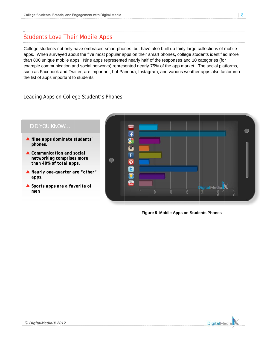### Students Love Their Mobile Apps

College students not only have embraced smart phones, but have also built up fairly large collections of mobile apps. When surveyed about the five most popular apps on their smart phones, college students identified more than 800 unique mobile apps. Nine apps represented nearly half of the responses and 10 categories (for example communication and social networks) represented nearly 75% of the app market. The social platforms, such as Facebook and Twitter, are important, but Pandora, Instagram, and various weather apps also factor into the list of apps important to students.

#### Leading Apps on College Student's Phones



**Figure 5–Mobile Apps on Students Phones** 

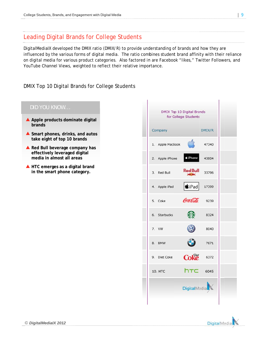### **Leading Digital Brands for College Students**

DigitalMedialX developed the DMIX ratio (DMIX/R) to provide understanding of brands and how they are influenced by the various forms of digital media. The ratio combines student brand affinity with their reliance on digital media for various product categories. Also factored in are Facebook "likes," Twitter Followers, and YouTube Channel Views, weighted to reflect their relative importance.

### DMIX Top 10 Digital Brands for College Students

# DID YOU KNOW... A Apple products dominate digital brands Smart phones, drinks, and autos take eight of top 10 brands Red Bull beverage company has effectively leveraged digital media in almost all areas  $\triangle$  HTC emerges as a digital brand in the smart phone category.

| DMIX Top 10 Digital Brands<br>for College Students |                                 |        |  |  |
|----------------------------------------------------|---------------------------------|--------|--|--|
| Company                                            |                                 | DMIX/R |  |  |
| 1. Apple MacBook                                   |                                 | 47340  |  |  |
| 2. Apple iPhone                                    | <b>∉</b> iPhone                 | 43804  |  |  |
| 3. Red Bull                                        | <b>Red Bull</b><br><b>SALAN</b> | 33796  |  |  |
| 4. Apple iPad                                      | $ \mathbf{\dot{\ast}}$ iPad     | 17399  |  |  |
| 5. Coke                                            | $\ell$ ca $\ell_{\ell}$ da 9239 |        |  |  |
| 6. Starbucks                                       |                                 | 8324   |  |  |
| 7. VW                                              | $\circledR$                     | 8040   |  |  |
| 8. BMW                                             | 0                               | 7671   |  |  |
| 9. Diet Coke                                       | $Cok\tilde{e}$ 6372             |        |  |  |
| <b>10. HTC</b>                                     | htc                             | 6045   |  |  |
|                                                    | <b>DigitalMedia</b>             |        |  |  |
|                                                    |                                 |        |  |  |